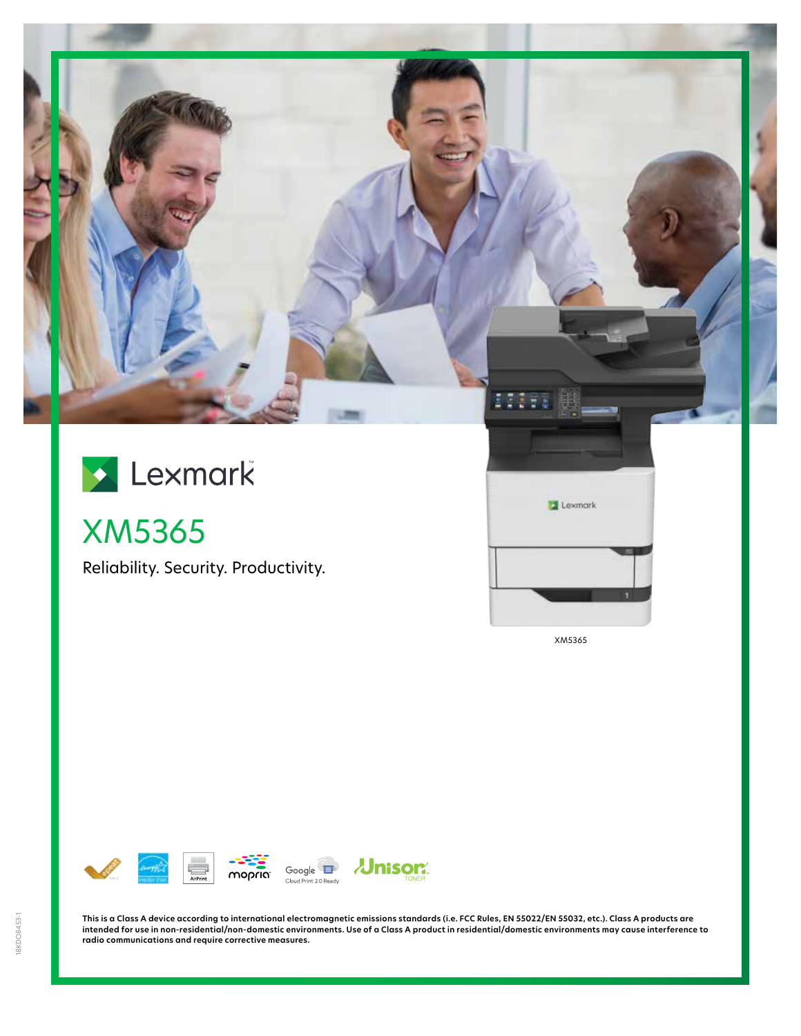

# Lexmark

XM5365

Reliability. Security. Productivity.



XM5365



**This is a Class A device according to international electromagnetic emissions standards (i.e. FCC Rules, EN 55022/EN 55032, etc.). Class A products are intended for use in non-residential/non-domestic environments. Use of a Class A product in residential/domestic environments may cause interference to radio communications and require corrective measures.**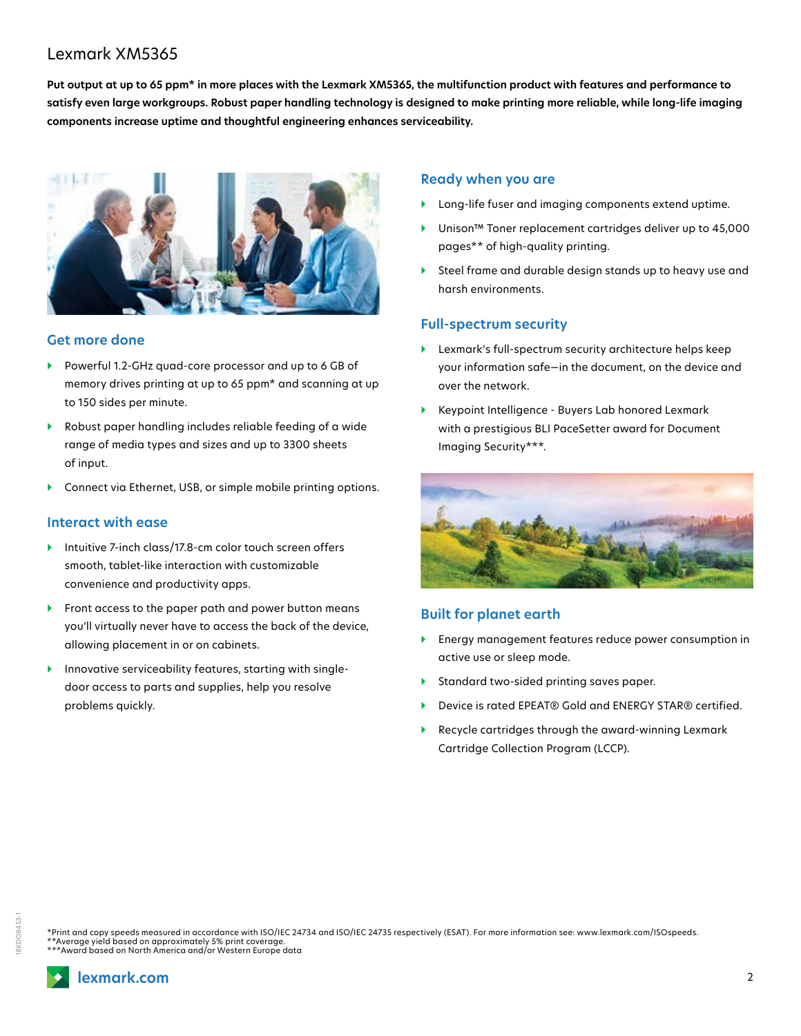# Lexmark XM5365

**Put output at up to 65 ppm\* in more places with the Lexmark XM5365, the multifunction product with features and performance to satisfy even large workgroups. Robust paper handling technology is designed to make printing more reliable, while long-life imaging components increase uptime and thoughtful engineering enhances serviceability.**



#### **Get more done**

- } Powerful 1.2-GHz quad-core processor and up to 6 GB of memory drives printing at up to 65 ppm\* and scanning at up to 150 sides per minute.
- } Robust paper handling includes reliable feeding of a wide range of media types and sizes and up to 3300 sheets of input.
- Connect via Ethernet, USB, or simple mobile printing options.

#### **Interact with ease**

- ▶ Intuitive 7-inch class/17.8-cm color touch screen offers smooth, tablet-like interaction with customizable convenience and productivity apps.
- } Front access to the paper path and power button means you'll virtually never have to access the back of the device, allowing placement in or on cabinets.
- } Innovative serviceability features, starting with singledoor access to parts and supplies, help you resolve problems quickly.

#### **Ready when you are**

- Long-life fuser and imaging components extend uptime.
- } Unison™ Toner replacement cartridges deliver up to 45,000 pages\*\* of high-quality printing.
- } Steel frame and durable design stands up to heavy use and harsh environments.

#### **Full-spectrum security**

- } Lexmark's full-spectrum security architecture helps keep your information safe—in the document, on the device and over the network.
- } Keypoint Intelligence Buyers Lab honored Lexmark with a prestigious BLI PaceSetter award for Document Imaging Security\*\*\*.



#### **Built for planet earth**

- } Energy management features reduce power consumption in active use or sleep mode.
- Standard two-sided printing saves paper.
- Device is rated EPEAT® Gold and ENERGY STAR® certified.
- } Recycle cartridges through the award-winning Lexmark Cartridge Collection Program (LCCP).

\*Print and copy speeds measured in accordance with ISO/IEC 24734 and ISO/IEC 24735 respectively (ESAT). For more information see: www.lexmark.com/ISOspeeds. \*\*Average yield based on approximately 5% print coverage. \*\*\*Award based on North America and/or Western Europe data

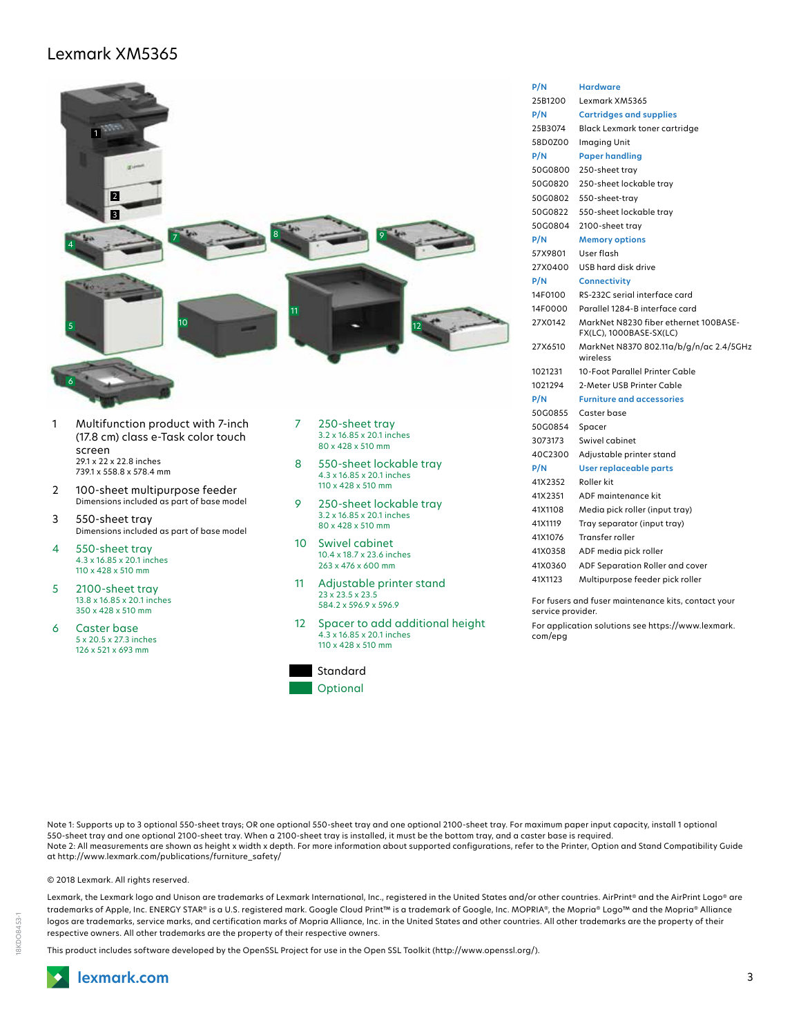## Lexmark XM5365



- 6 Caster base 5 x 20.5 x 27.3 inches 126 x 521 x 693 mm
- 4.3 x 16.85 x 20.1 inches



110 x 428 x 510 mm

| P/N     | <b>Hardware</b>                                                  |
|---------|------------------------------------------------------------------|
| 25B1200 | Lexmark XM5365                                                   |
| P/N     | <b>Cartridges and supplies</b>                                   |
| 25B3074 | <b>Black Lexmark toner cartridge</b>                             |
| 58D0Z00 | Imaging Unit                                                     |
| P/N     | <b>Paper handling</b>                                            |
| 50G0800 | 250-sheet tray                                                   |
| 50G0820 | 250-sheet lockable tray                                          |
| 50G0802 | 550-sheet-tray                                                   |
| 50G0822 | 550-sheet lockable tray                                          |
| 50G0804 | 2100-sheet tray                                                  |
| P/N     | <b>Memory options</b>                                            |
| 57X9801 | User flash                                                       |
| 27X0400 | USB hard disk drive                                              |
| P/N     | <b>Connectivity</b>                                              |
| 14F0100 | RS-232C serial interface card                                    |
| 14F0000 | Parallel 1284-B interface card                                   |
| 27X0142 | MarkNet N8230 fiber ethernet 100BASE-<br>FX(LC), 1000BASE-SX(LC) |
| 27X6510 | MarkNet N8370 802.11a/b/g/n/ac 2.4/5GHz<br>wireless              |
| 1021231 | 10-Foot Parallel Printer Cable                                   |
| 1021294 | 2-Meter USB Printer Cable                                        |
| P/N     | <b>Furniture and accessories</b>                                 |
| 50G0855 | Caster base                                                      |
| 50G0854 | Spacer                                                           |
| 3073173 | Swivel cabinet                                                   |
| 40C2300 | Adjustable printer stand                                         |
| P/N     | User replaceable parts                                           |
| 41X2352 | Roller kit                                                       |
| 41X2351 | ADF maintenance kit                                              |
| 41X1108 | Media pick roller (input tray)                                   |
| 41X1119 | Tray separator (input tray)                                      |
| 41X1076 | Transfer roller                                                  |
| 41X0358 | ADF media pick roller                                            |
| 41X0360 | ADF Separation Roller and cover                                  |
| 41X1123 | Multipurpose feeder pick roller                                  |
|         |                                                                  |

For fusers and fuser maintenance kits, contact your service provider.

For application solutions see https://www.lexmark. com/epg

Note 1: Supports up to 3 optional 550-sheet trays; OR one optional 550-sheet tray and one optional 2100-sheet tray. For maximum paper input capacity, install 1 optional 550-sheet tray and one optional 2100-sheet tray. When a 2100-sheet tray is installed, it must be the bottom tray, and a caster base is required. Note 2: All measurements are shown as height x width x depth. For more information about supported configurations, refer to the Printer, Option and Stand Compatibility Guide at http://www.lexmark.com/publications/furniture\_safety/

© 2018 Lexmark. All rights reserved.

Lexmark, the Lexmark logo and Unison are trademarks of Lexmark International, Inc., registered in the United States and/or other countries. AirPrint® and the AirPrint Logo® are trademarks of Apple, Inc. ENERGY STAR® is a U.S. registered mark. Google Cloud Print™ is a trademark of Google, Inc. MOPRIA®, the Mopria® Logo™ and the Mopria® Alliance logos are trademarks, service marks, and certification marks of Mopria Alliance, Inc. in the United States and other countries. All other trademarks are the property of their respective owners. All other trademarks are the property of their respective owners.

This product includes software developed by the OpenSSL Project for use in the Open SSL Toolkit (http://www.openssl.org/).

18KDO8453-1

8KDO8453-1